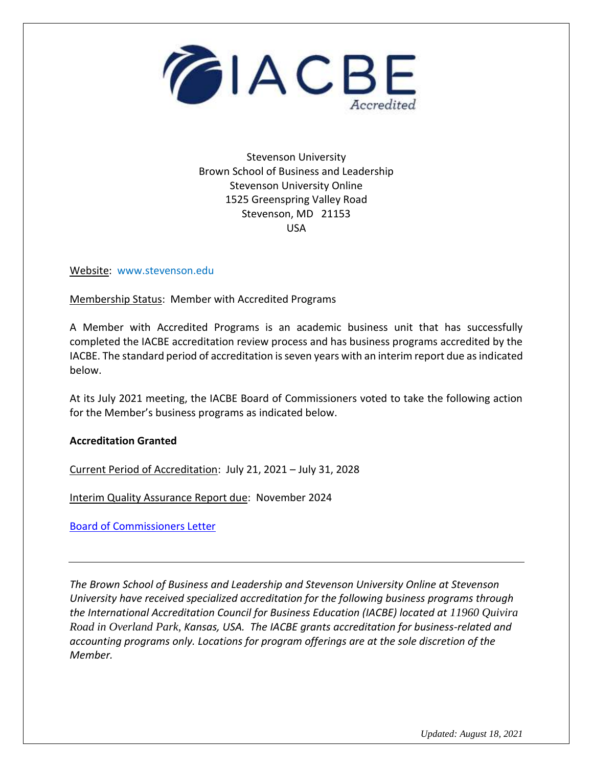

Stevenson University Brown School of Business and Leadership Stevenson University Online 1525 Greenspring Valley Road Stevenson, MD 21153 USA

Website: www.stevenson.edu

Membership Status: Member with Accredited Programs

A Member with Accredited Programs is an academic business unit that has successfully completed the IACBE accreditation review process and has business programs accredited by the IACBE. The standard period of accreditation is seven years with an interim report due as indicated below.

At its July 2021 meeting, the IACBE Board of Commissioners voted to take the following action for the Member's business programs as indicated below.

## **Accreditation Granted**

Current Period of Accreditation: July 21, 2021 – July 31, 2028

Interim Quality Assurance Report due: November 2024

[Board of Commissioners Letter](https://iacbe.org/memberpdf/StevensonUnivBOCDecisionLetterJuly2021Final.pdf)

*The Brown School of Business and Leadership and Stevenson University Online at Stevenson University have received specialized accreditation for the following business programs through the International Accreditation Council for Business Education (IACBE) located at 11960 Quivira Road in Overland Park, Kansas, USA. The IACBE grants accreditation for business-related and accounting programs only. Locations for program offerings are at the sole discretion of the Member.*